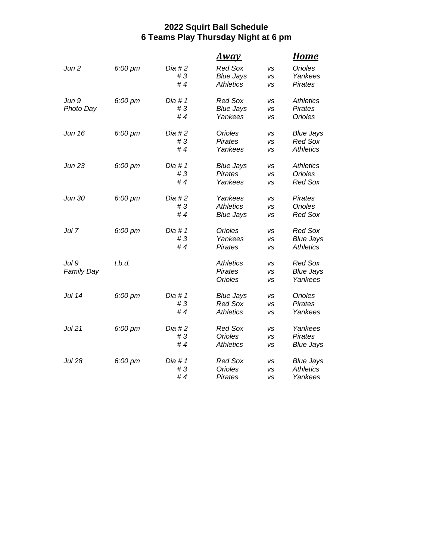## **2022 Squirt Ball Schedule 6 Teams Play Thursday Night at 6 pm**

|                   |         |           | <u>Awav</u>      |           | <u>Home</u>      |
|-------------------|---------|-----------|------------------|-----------|------------------|
| Jun 2             | 6:00 pm | Dia #2    | <b>Red Sox</b>   | <b>VS</b> | <b>Orioles</b>   |
|                   |         | #3        | <b>Blue Jays</b> | VS        | Yankees          |
|                   |         | #4        | <b>Athletics</b> | VS        | <b>Pirates</b>   |
| Jun 9             | 6:00 pm | Dia # 1   | <b>Red Sox</b>   | <b>VS</b> | <b>Athletics</b> |
| Photo Day         |         | #3        | <b>Blue Jays</b> | vs        | <b>Pirates</b>   |
|                   |         | #4        | Yankees          | <b>VS</b> | Orioles          |
| Jun 16            | 6:00 pm | $Dia$ #2  | <b>Orioles</b>   | VS        | <b>Blue Jays</b> |
|                   |         | #3        | <b>Pirates</b>   | vs        | <b>Red Sox</b>   |
|                   |         | #4        | Yankees          | vs        | <b>Athletics</b> |
| <b>Jun 23</b>     | 6:00 pm | Dia # $1$ | <b>Blue Jays</b> | <b>VS</b> | <b>Athletics</b> |
|                   |         | #3        | <b>Pirates</b>   | <b>VS</b> | Orioles          |
|                   |         | #4        | Yankees          | VS        | <b>Red Sox</b>   |
| Jun 30            | 6:00 pm | $Dia$ #2  | Yankees          | <b>VS</b> | <b>Pirates</b>   |
|                   |         | #3        | <b>Athletics</b> | <b>VS</b> | <b>Orioles</b>   |
|                   |         | #4        | <b>Blue Jays</b> | vs        | <b>Red Sox</b>   |
| Jul 7             | 6:00 pm | Dia #1    | Orioles          | VS        | <b>Red Sox</b>   |
|                   |         | #3        | Yankees          | vs        | <b>Blue Jays</b> |
|                   |         | #4        | <b>Pirates</b>   | <b>VS</b> | <b>Athletics</b> |
| Jul 9             | t.b.d.  |           | <b>Athletics</b> | VS        | <b>Red Sox</b>   |
| <b>Family Day</b> |         |           | <b>Pirates</b>   | <b>VS</b> | <b>Blue Jays</b> |
|                   |         |           | <b>Orioles</b>   | VS        | Yankees          |
| Jul 14            | 6:00 pm | Dia #1    | <b>Blue Jays</b> | <b>VS</b> | Orioles          |
|                   |         | #3        | <b>Red Sox</b>   | <b>VS</b> | <b>Pirates</b>   |
|                   |         | #4        | <b>Athletics</b> | VS        | Yankees          |
| <b>Jul 21</b>     | 6:00 pm | $Dia \#2$ | <b>Red Sox</b>   | <b>VS</b> | Yankees          |
|                   |         | #3        | <b>Orioles</b>   | VS        | <b>Pirates</b>   |
|                   |         | #4        | <b>Athletics</b> | VS        | <b>Blue Jays</b> |
| <b>Jul 28</b>     | 6:00 pm | Dia # $1$ | <b>Red Sox</b>   | VS        | <b>Blue Jays</b> |
|                   |         | #3        | <b>Orioles</b>   | vs        | <b>Athletics</b> |
|                   |         | #4        | <b>Pirates</b>   | VS        | Yankees          |